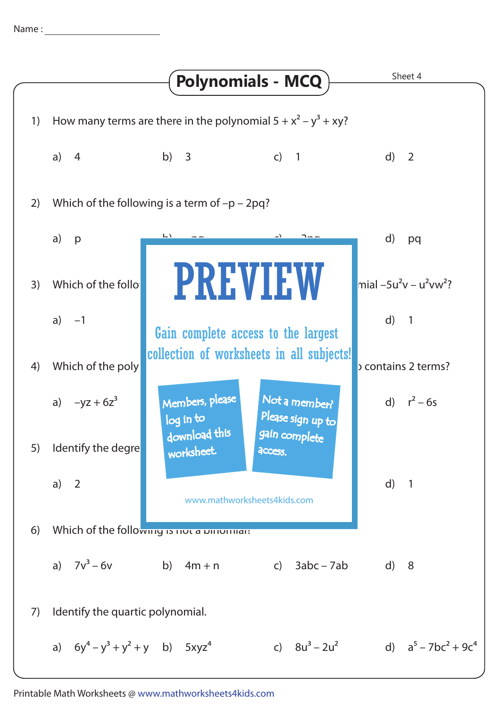